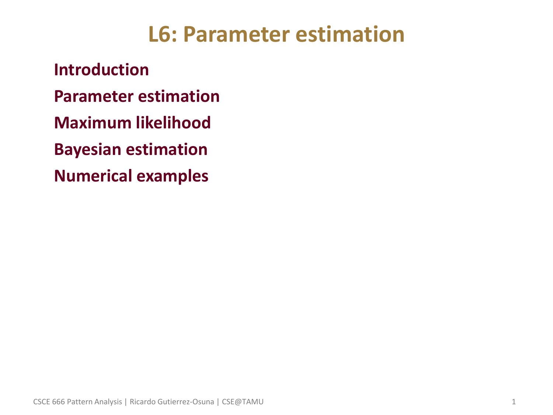## **L6: Parameter estimation**

• **Introduction** • **Parameter estimation** • **Maximum likelihood** • **Bayesian estimation** • **Numerical examples**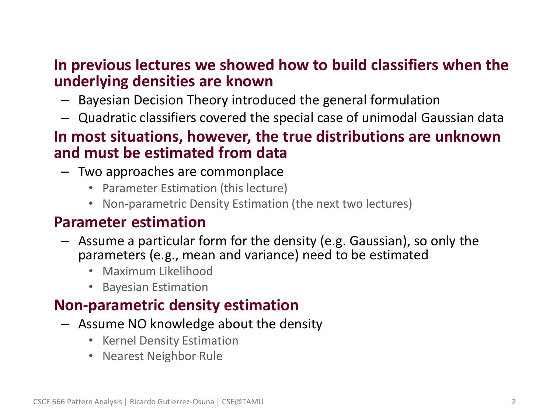#### • **In previous lectures we showed how to build classifiers when the underlying densities are known**

- Bayesian Decision Theory introduced the general formulation
- Quadratic classifiers covered the special case of unimodal Gaussian data

#### • **In most situations, however, the true distributions are unknown and must be estimated from data**

- Two approaches are commonplace
	- Parameter Estimation (this lecture)
	- Non-parametric Density Estimation (the next two lectures)

#### • **Parameter estimation**

- Assume a particular form for the density (e.g. Gaussian), so only the parameters (e.g., mean and variance) need to be estimated
	- Maximum Likelihood
	- Bayesian Estimation

### • **Non-parametric density estimation**

- Assume NO knowledge about the density
	- Kernel Density Estimation
	- Nearest Neighbor Rule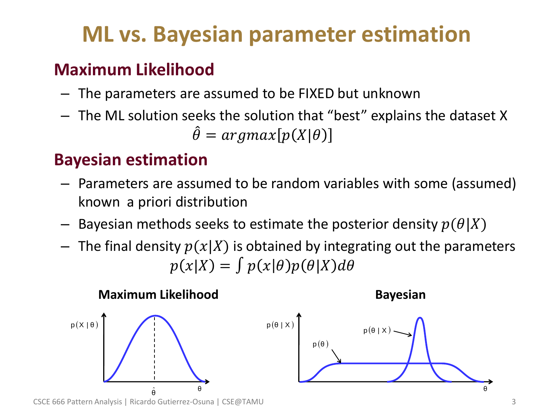# **ML vs. Bayesian parameter estimation**

### • **Maximum Likelihood**

- The parameters are assumed to be FIXED but unknown
- The ML solution seeks the solution that "best" explains the dataset X  $\hat{\theta} = argmax[p(X|\theta)]$

### • **Bayesian estimation**

- Parameters are assumed to be random variables with some (assumed) known a priori distribution
- Bayesian methods seeks to estimate the posterior density  $p(\theta|X)$
- $-$  The final density  $p(x|X)$  is obtained by integrating out the parameters  $p(x|X) = \int p(x|\theta)p(\theta|X)d\theta$







CSCE 666 Pattern Analysis | Ricardo Gutierrez-Osuna | CSE@TAMU 3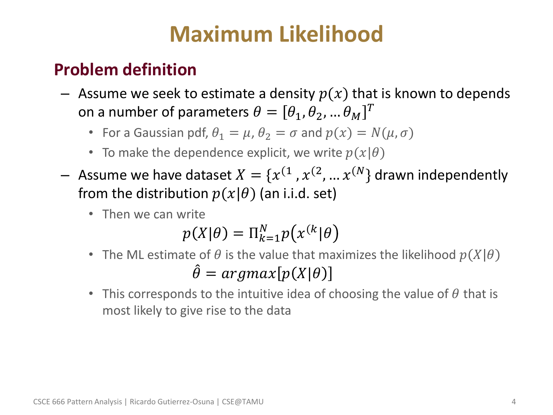## **Maximum Likelihood**

### • **Problem definition**

- $-$  Assume we seek to estimate a density  $p(x)$  that is known to depends on a number of parameters  $\theta = [\theta_1, \theta_2, ... \theta_M]^T$ 
	- For a Gaussian pdf,  $\theta_1 = \mu$ ,  $\theta_2 = \sigma$  and  $p(x) = N(\mu, \sigma)$
	- To make the dependence explicit, we write  $p(x|\theta)$
- $-$  Assume we have dataset  $X = \{x^{(1)}, x^{(2)}, ... x^{(N)}\}$  drawn independently from the distribution  $p(x|\theta)$  (an i.i.d. set)
	- Then we can write

$$
p(X|\theta) = \Pi_{k=1}^{N} p(x^{(k}|\theta))
$$

- The ML estimate of  $\theta$  is the value that maximizes the likelihood  $p(X|\theta)$  $\hat{\theta} = argmax[p(X|\theta)]$
- This corresponds to the intuitive idea of choosing the value of  $\theta$  that is most likely to give rise to the data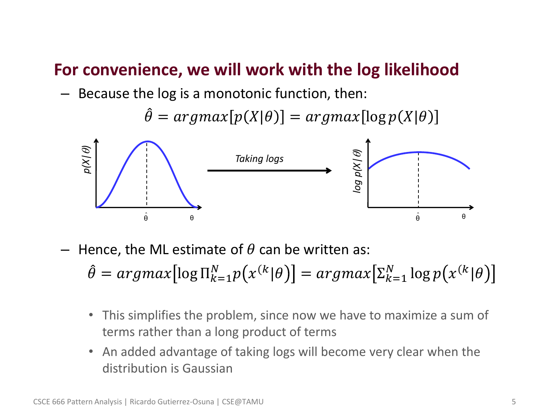#### • **For convenience, we will work with the log likelihood**

– Because the log is a monotonic function, then:

 $\hat{\theta} = argmax[p(X|\theta)] = argmax[log p(X|\theta)]$ 



Hence, the ML estimate of  $\theta$  can be written as:

 $\hat{\theta} = argmax[log \Pi_{k=1}^{N} p(x^{(k}|\theta))] = argmax[\Sigma_{k=1}^{N} log p(x^{(k}|\theta))]$ 

- This simplifies the problem, since now we have to maximize a sum of terms rather than a long product of terms
- An added advantage of taking logs will become very clear when the distribution is Gaussian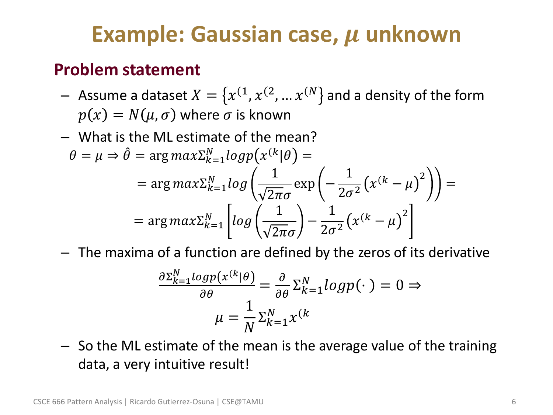## **Example: Gaussian case, µ unknown**

### • **Problem statement**

- $-$  Assume a dataset  $X = \{x^{(1)}, x^{(2)}, ... x^{(N)}\}$  and a density of the form  $p(x) = N(\mu, \sigma)$  where  $\sigma$  is known
- What is the ML estimate of the mean?  $\theta = \mu \Rightarrow \hat{\theta} = \arg max \sum_{k=1}^{N} log p(x^{(k)}|\theta) =$  $= \arg max \sum_{k=1}^{N} log$ 1  $2\pi\sigma$  $\exp$  |  $-$ 1  $\frac{1}{2\sigma^2} (x^{(k)} - \mu)^2$ =  $= \arg max_{k=1}^N \left| log \right|$ 1  $2\pi\sigma$ − 1  $\frac{1}{2\sigma^2} (x^{(k)} - \mu)^2$
- The maxima of a function are defined by the zeros of its derivative

$$
\frac{\partial \Sigma_{k=1}^{N} log p(x^{(k)} | \theta)}{\partial \theta} = \frac{\partial}{\partial \theta} \Sigma_{k=1}^{N} log p(\cdot) = 0 \Rightarrow
$$

$$
\mu = \frac{1}{N} \Sigma_{k=1}^{N} x^{(k)}
$$

– So the ML estimate of the mean is the average value of the training data, a very intuitive result!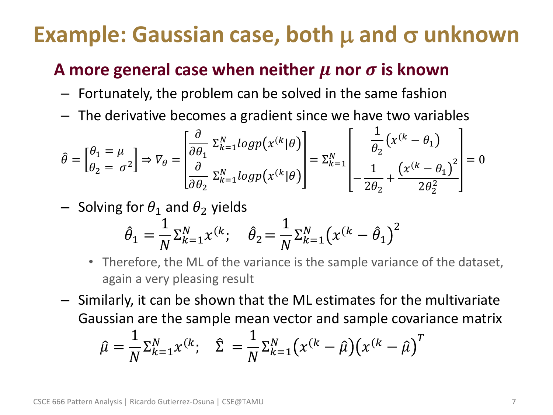## **Example: Gaussian case, both μ and σ unknown**

### A more general case when neither  $\mu$  nor  $\sigma$  is known

- Fortunately, the problem can be solved in the same fashion
- The derivative becomes a gradient since we have two variables

$$
\hat{\theta} = \begin{bmatrix} \theta_1 = \mu \\ \theta_2 = \sigma^2 \end{bmatrix} \Rightarrow \nabla_{\theta} = \begin{bmatrix} \frac{\partial}{\partial \theta_1} \ \Sigma_{k=1}^N log p(x^{(k)} | \theta) \\ \frac{\partial}{\partial \theta_2} \ \Sigma_{k=1}^N log p(x^{(k)} | \theta) \end{bmatrix} = \Sigma_{k=1}^N \begin{bmatrix} \frac{1}{\theta_2} (x^{(k} - \theta_1) \\ -\frac{1}{2\theta_2} + \frac{(x^{(k} - \theta_1)^2}{2\theta_2^2} \end{bmatrix} = 0
$$

- Solving for  $\theta_1$  and  $\theta_2$  yields

$$
\hat{\theta}_1 = \frac{1}{N} \Sigma_{k=1}^N x^{(k)}; \quad \hat{\theta}_2 = \frac{1}{N} \Sigma_{k=1}^N (x^{(k} - \hat{\theta}_1)^2)
$$

- Therefore, the ML of the variance is the sample variance of the dataset, again a very pleasing result
- Similarly, it can be shown that the ML estimates for the multivariate Gaussian are the sample mean vector and sample covariance matrix

$$
\hat{\mu} = \frac{1}{N} \sum_{k=1}^{N} x^{(k)}, \quad \hat{\Sigma} = \frac{1}{N} \sum_{k=1}^{N} \left( x^{(k)} - \hat{\mu} \right) \left( x^{(k)} - \hat{\mu} \right)^{T}
$$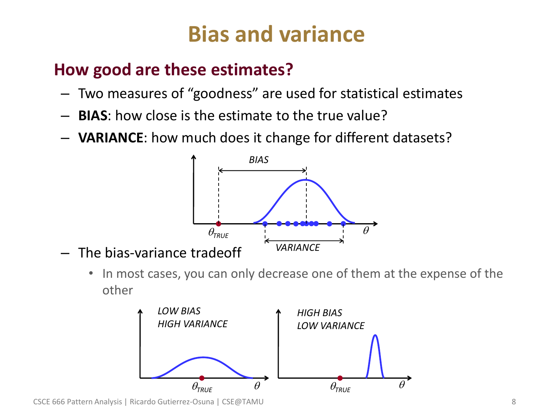# **Bias and variance**

### • **How good are these estimates?**

- Two measures of "goodness" are used for statistical estimates
- **BIAS**: how close is the estimate to the true value?
- **VARIANCE**: how much does it change for different datasets?



• In most cases, you can only decrease one of them at the expense of the other



CSCE 666 Pattern Analysis | Ricardo Gutierrez-Osuna | CSE@TAMU 8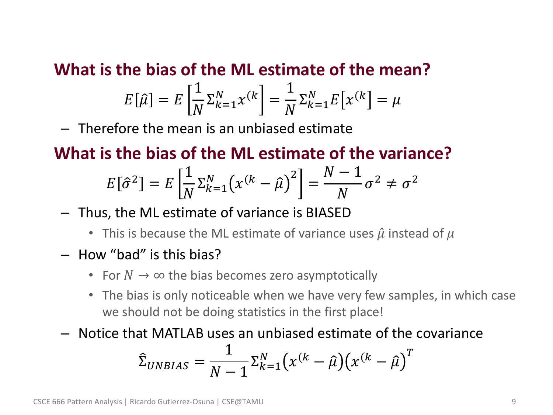• **What is the bias of the ML estimate of the mean?**

$$
E\left[\hat{\mu}\right] = E\left[\frac{1}{N}\Sigma_{k=1}^N \chi^{(k)}\right] = \frac{1}{N}\Sigma_{k=1}^N E\left[\chi^{(k)}\right] = \mu
$$

– Therefore the mean is an unbiased estimate

• **What is the bias of the ML estimate of the variance?**

$$
E[\hat{\sigma}^2] = E\left[\frac{1}{N}\Sigma_{k=1}^N \left(x^{(k)} - \hat{\mu}\right)^2\right] = \frac{N-1}{N}\sigma^2 \neq \sigma^2
$$

- Thus, the ML estimate of variance is BIASED
	- This is because the ML estimate of variance uses  $\hat{\mu}$  instead of  $\mu$
- How "bad" is this bias?
	- For  $N \to \infty$  the bias becomes zero asymptotically
	- The bias is only noticeable when we have very few samples, in which case we should not be doing statistics in the first place!
- Notice that MATLAB uses an unbiased estimate of the covariance

$$
\hat{\Sigma}_{UNBIAS} = \frac{1}{N-1} \Sigma_{k=1}^{N} \left( x^{(k)} - \hat{\mu} \right) \left( x^{(k)} - \hat{\mu} \right)^{T}
$$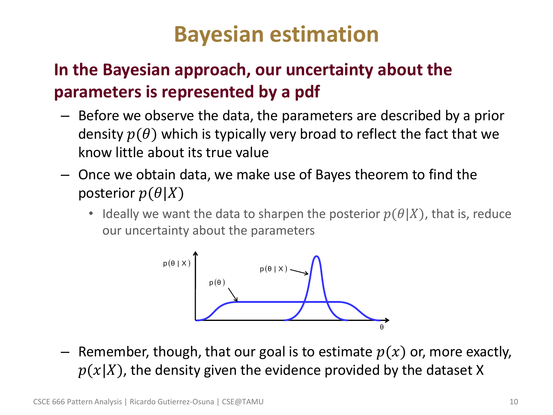## **Bayesian estimation**

### • **In the Bayesian approach, our uncertainty about the parameters is represented by a pdf**

- Before we observe the data, the parameters are described by a prior density  $p(\theta)$  which is typically very broad to reflect the fact that we know little about its true value
- Once we obtain data, we make use of Bayes theorem to find the posterior  $p(\theta|X)$ 
	- Ideally we want the data to sharpen the posterior  $p(\theta|X)$ , that is, reduce our uncertainty about the parameters



– Remember, though, that our goal is to estimate  $p(x)$  or, more exactly,  $p(x|X)$ , the density given the evidence provided by the dataset X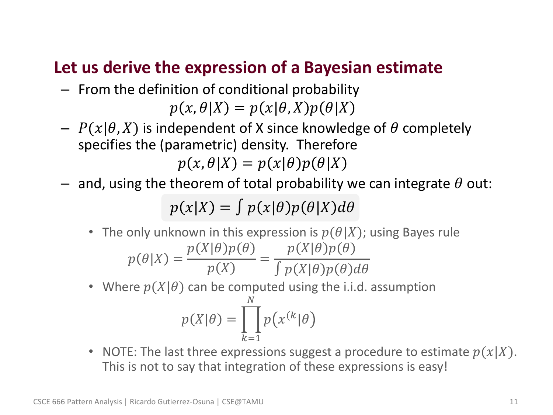### • **Let us derive the expression of a Bayesian estimate**

- From the definition of conditional probability  $p(x, \theta|X) = p(x|\theta, X)p(\theta|X)$
- $-P(x|\theta, X)$  is independent of X since knowledge of  $\theta$  completely specifies the (parametric) density. Therefore  $p(x, \theta|X) = p(x|\theta)p(\theta|X)$
- and, using the theorem of total probability we can integrate  $\theta$  out:

 $p(x|X) = \int p(x|\theta)p(\theta|X)d\theta$ 

- The only unknown in this expression is  $p(\theta|X)$ ; using Bayes rule  $p(\theta|X) =$  $p(X|\theta)p(\theta)$  $p(X)$ =  $p(X|\theta)p(\theta)$  $\int p(X|\theta)p(\theta)d\theta$
- Where  $p(X|\theta)$  can be computed using the i.i.d. assumption

$$
p(X|\theta) = \prod_{k=1}^{N} p(x^{(k)}|\theta)
$$

• NOTE: The last three expressions suggest a procedure to estimate  $p(x|X)$ . This is not to say that integration of these expressions is easy!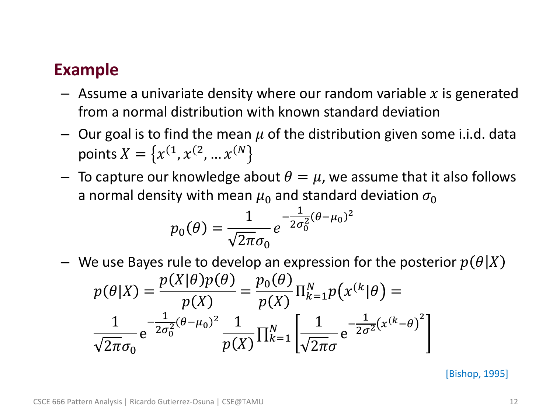### • **Example**

- $-$  Assume a univariate density where our random variable x is generated from a normal distribution with known standard deviation
- Our goal is to find the mean  $\mu$  of the distribution given some i.i.d. data points  $X=\bigl\{ x^{(1},x^{(2)},...x^{(N)}\bigr\}$
- To capture our knowledge about  $\theta = \mu$ , we assume that it also follows a normal density with mean  $\mu_0$  and standard deviation  $\sigma_0$

$$
p_0(\theta) = \frac{1}{\sqrt{2\pi}\sigma_0} e^{-\frac{1}{2\sigma_0^2}(\theta - \mu_0)^2}
$$

We use Bayes rule to develop an expression for the posterior  $p(\theta|X)$  $p(\theta|X) =$  $p(X|\theta)p(\theta)$  $p(X)$ =  $p_{0}(\theta$  $p(X)$  $\Pi_{k=1}^N p(x^{(k)}|\theta) =$ 1  $\overline{2\pi}\sigma_0$ e − 1  $2\sigma_0^2$  $\sqrt{2}(\theta - \mu_0)^2$  1  $p(X)$  $\prod_{k=1}^{N} \left[ \frac{1}{\sqrt{2}} \right]$  $\overline{2\pi}\sigma$ e − 1  $\frac{1}{2\sigma^2}(x^{(k-1)}\theta)^2$ 

[Bishop, 1995]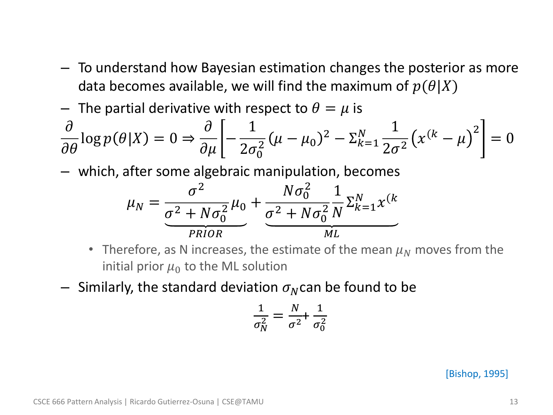- To understand how Bayesian estimation changes the posterior as more data becomes available, we will find the maximum of  $p(\theta|X)$
- The partial derivative with respect to  $\theta = \mu$  is

$$
\frac{\partial}{\partial \theta} \log p(\theta|X) = 0 \Rightarrow \frac{\partial}{\partial \mu} \left[ -\frac{1}{2\sigma_0^2} (\mu - \mu_0)^2 - \Sigma_{k=1}^N \frac{1}{2\sigma^2} (x^{(k} - \mu)^2 \right] = 0
$$

– which, after some algebraic manipulation, becomes

$$
\mu_N = \frac{\sigma^2}{\underbrace{\sigma^2 + N\sigma_0^2}_{PRIOR}} \mu_0 + \underbrace{\frac{N\sigma_0^2}{\sigma^2 + N\sigma_0^2} \frac{1}{N} \Sigma_{k=1}^N x^{(k)}}_{ML}
$$

- Therefore, as N increases, the estimate of the mean  $\mu_N$  moves from the initial prior  $\mu_0$  to the ML solution
- $-$  Similarly, the standard deviation  $\sigma_N$ can be found to be

$$
\frac{1}{\sigma_N^2} = \frac{N}{\sigma^2} + \frac{1}{\sigma_0^2}
$$

[Bishop, 1995]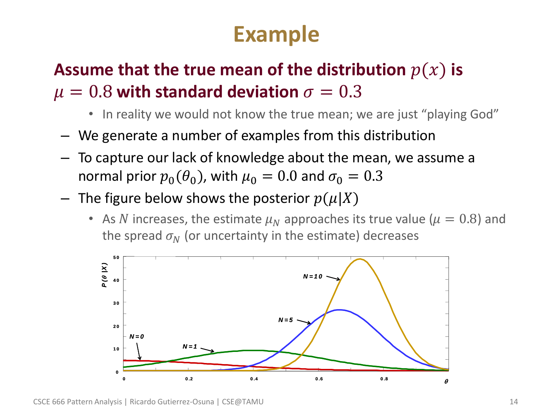# **Example**

### **Assume that the true mean of the distribution**  $p(x)$  **is**  $\mu = 0.8$  with standard deviation  $\sigma = 0.3$

- In reality we would not know the true mean; we are just "playing God"
- We generate a number of examples from this distribution
- To capture our lack of knowledge about the mean, we assume a normal prior  $p_0(\theta_0)$ , with  $\mu_0 = 0.0$  and  $\sigma_0 = 0.3$
- The figure below shows the posterior  $p(\mu|X)$ 
	- As N increases, the estimate  $\mu_N$  approaches its true value ( $\mu = 0.8$ ) and the spread  $\sigma_N$  (or uncertainty in the estimate) decreases